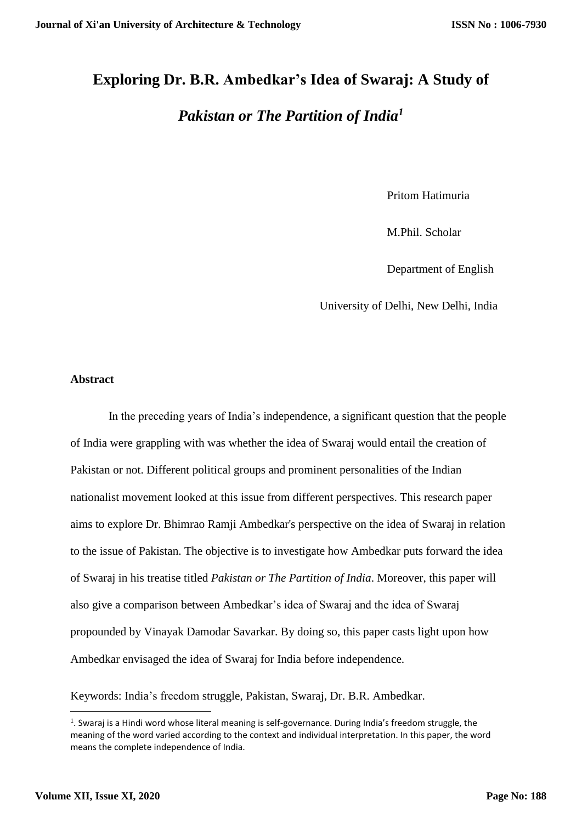# **Exploring Dr. B.R. Ambedkar's Idea of Swaraj: A Study of**

# *Pakistan or The Partition of India<sup>1</sup>*

Pritom Hatimuria

M.Phil. Scholar

Department of English

University of Delhi, New Delhi, India

## **Abstract**

In the preceding years of India's independence, a significant question that the people of India were grappling with was whether the idea of Swaraj would entail the creation of Pakistan or not. Different political groups and prominent personalities of the Indian nationalist movement looked at this issue from different perspectives. This research paper aims to explore Dr. Bhimrao Ramji Ambedkar's perspective on the idea of Swaraj in relation to the issue of Pakistan. The objective is to investigate how Ambedkar puts forward the idea of Swaraj in his treatise titled *Pakistan or The Partition of India*. Moreover, this paper will also give a comparison between Ambedkar's idea of Swaraj and the idea of Swaraj propounded by Vinayak Damodar Savarkar. By doing so, this paper casts light upon how Ambedkar envisaged the idea of Swaraj for India before independence.

Keywords: India's freedom struggle, Pakistan, Swaraj, Dr. B.R. Ambedkar.

**.** 

<sup>&</sup>lt;sup>1</sup>. Swaraj is a Hindi word whose literal meaning is self-governance. During India's freedom struggle, the meaning of the word varied according to the context and individual interpretation. In this paper, the word means the complete independence of India.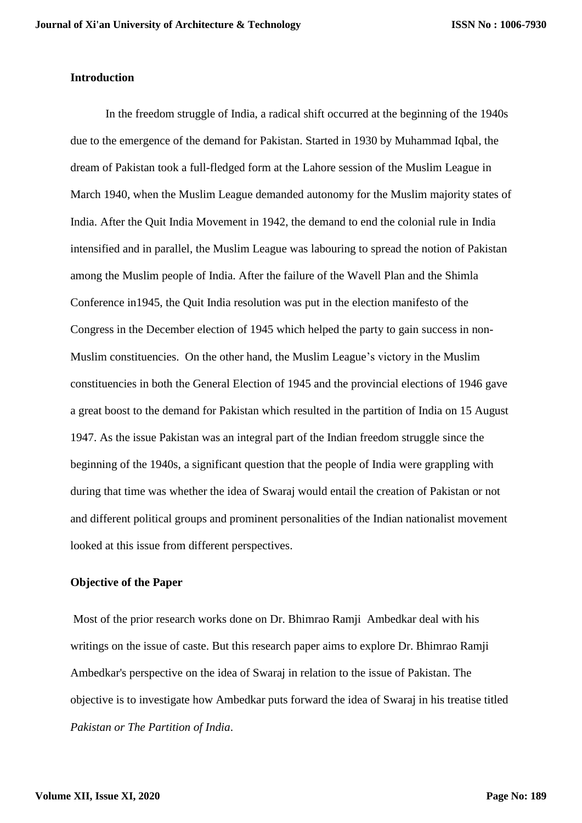#### **Introduction**

In the freedom struggle of India, a radical shift occurred at the beginning of the 1940s due to the emergence of the demand for Pakistan. Started in 1930 by Muhammad Iqbal, the dream of Pakistan took a full-fledged form at the Lahore session of the Muslim League in March 1940, when the Muslim League demanded autonomy for the Muslim majority states of India. After the Quit India Movement in 1942, the demand to end the colonial rule in India intensified and in parallel, the Muslim League was labouring to spread the notion of Pakistan among the Muslim people of India. After the failure of the Wavell Plan and the Shimla Conference in1945, the Quit India resolution was put in the election manifesto of the Congress in the December election of 1945 which helped the party to gain success in non-Muslim constituencies. On the other hand, the Muslim League's victory in the Muslim constituencies in both the General Election of 1945 and the provincial elections of 1946 gave a great boost to the demand for Pakistan which resulted in the partition of India on 15 August 1947. As the issue Pakistan was an integral part of the Indian freedom struggle since the beginning of the 1940s, a significant question that the people of India were grappling with during that time was whether the idea of Swaraj would entail the creation of Pakistan or not and different political groups and prominent personalities of the Indian nationalist movement looked at this issue from different perspectives.

#### **Objective of the Paper**

Most of the prior research works done on Dr. Bhimrao Ramji Ambedkar deal with his writings on the issue of caste. But this research paper aims to explore Dr. Bhimrao Ramji Ambedkar's perspective on the idea of Swaraj in relation to the issue of Pakistan. The objective is to investigate how Ambedkar puts forward the idea of Swaraj in his treatise titled *Pakistan or The Partition of India*.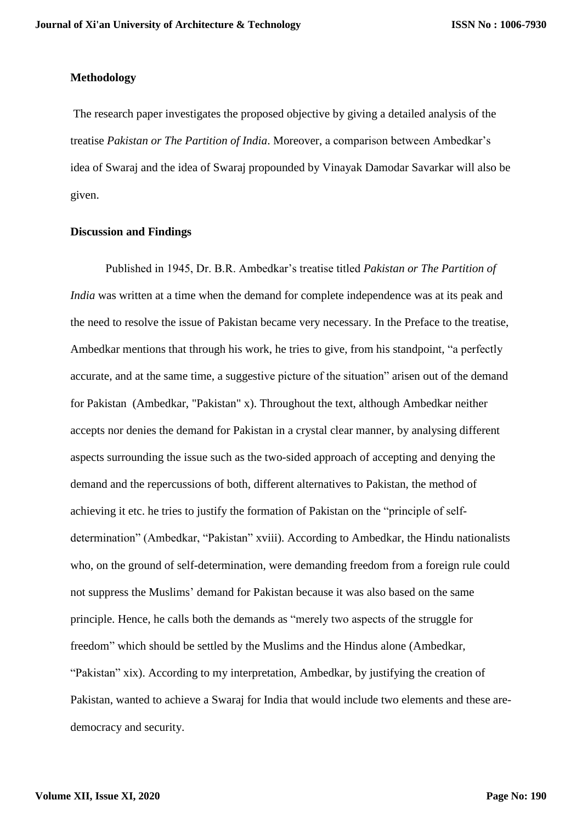#### **Methodology**

The research paper investigates the proposed objective by giving a detailed analysis of the treatise *Pakistan or The Partition of India*. Moreover, a comparison between Ambedkar's idea of Swaraj and the idea of Swaraj propounded by Vinayak Damodar Savarkar will also be given.

### **Discussion and Findings**

Published in 1945, Dr. B.R. Ambedkar's treatise titled *Pakistan or The Partition of India* was written at a time when the demand for complete independence was at its peak and the need to resolve the issue of Pakistan became very necessary. In the Preface to the treatise, Ambedkar mentions that through his work, he tries to give, from his standpoint, "a perfectly accurate, and at the same time, a suggestive picture of the situation" arisen out of the demand for Pakistan (Ambedkar, "Pakistan" x). Throughout the text, although Ambedkar neither accepts nor denies the demand for Pakistan in a crystal clear manner, by analysing different aspects surrounding the issue such as the two-sided approach of accepting and denying the demand and the repercussions of both, different alternatives to Pakistan, the method of achieving it etc. he tries to justify the formation of Pakistan on the "principle of selfdetermination" (Ambedkar, "Pakistan" xviii). According to Ambedkar, the Hindu nationalists who, on the ground of self-determination, were demanding freedom from a foreign rule could not suppress the Muslims' demand for Pakistan because it was also based on the same principle. Hence, he calls both the demands as "merely two aspects of the struggle for freedom" which should be settled by the Muslims and the Hindus alone (Ambedkar, "Pakistan" xix). According to my interpretation, Ambedkar, by justifying the creation of Pakistan, wanted to achieve a Swaraj for India that would include two elements and these aredemocracy and security.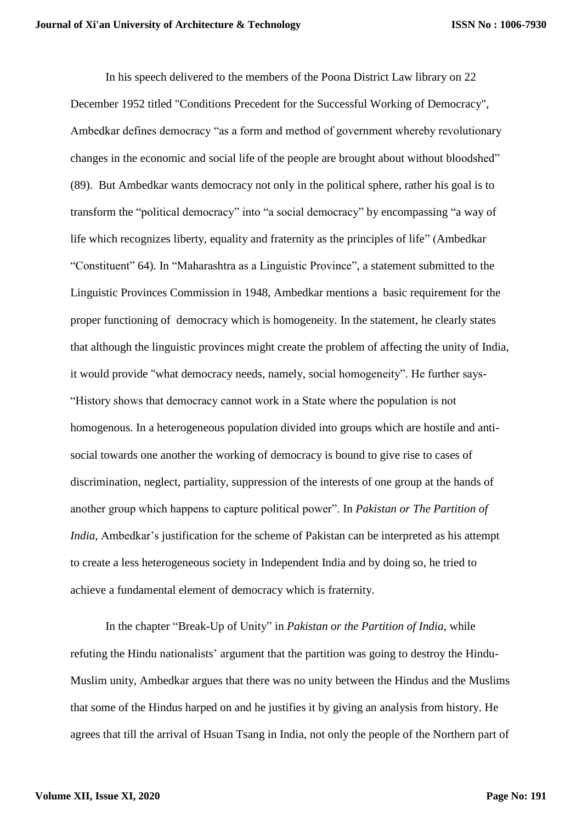In his speech delivered to the members of the Poona District Law library on 22 December 1952 titled "Conditions Precedent for the Successful Working of Democracy", Ambedkar defines democracy "as a form and method of government whereby revolutionary changes in the economic and social life of the people are brought about without bloodshed" (89). But Ambedkar wants democracy not only in the political sphere, rather his goal is to transform the "political democracy" into "a social democracy" by encompassing "a way of life which recognizes liberty, equality and fraternity as the principles of life" (Ambedkar "Constituent" 64). In "Maharashtra as a Linguistic Province", a statement submitted to the Linguistic Provinces Commission in 1948, Ambedkar mentions a basic requirement for the proper functioning of democracy which is homogeneity. In the statement, he clearly states that although the linguistic provinces might create the problem of affecting the unity of India, it would provide "what democracy needs, namely, social homogeneity". He further says- "History shows that democracy cannot work in a State where the population is not homogenous. In a heterogeneous population divided into groups which are hostile and antisocial towards one another the working of democracy is bound to give rise to cases of discrimination, neglect, partiality, suppression of the interests of one group at the hands of another group which happens to capture political power". In *Pakistan or The Partition of India*, Ambedkar's justification for the scheme of Pakistan can be interpreted as his attempt to create a less heterogeneous society in Independent India and by doing so, he tried to achieve a fundamental element of democracy which is fraternity.

In the chapter "Break-Up of Unity" in *Pakistan or the Partition of India*, while refuting the Hindu nationalists' argument that the partition was going to destroy the Hindu-Muslim unity, Ambedkar argues that there was no unity between the Hindus and the Muslims that some of the Hindus harped on and he justifies it by giving an analysis from history. He agrees that till the arrival of Hsuan Tsang in India, not only the people of the Northern part of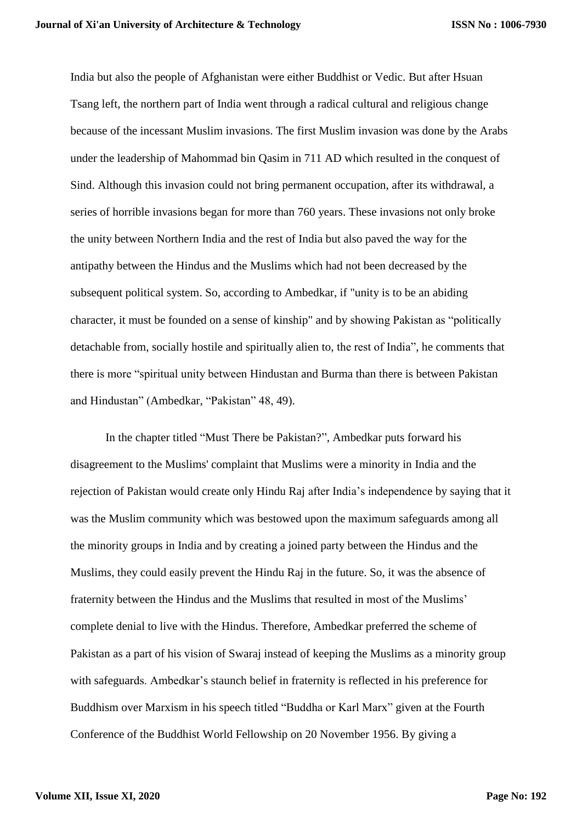India but also the people of Afghanistan were either Buddhist or Vedic. But after Hsuan Tsang left, the northern part of India went through a radical cultural and religious change because of the incessant Muslim invasions. The first Muslim invasion was done by the Arabs under the leadership of Mahommad bin Qasim in 711 AD which resulted in the conquest of Sind. Although this invasion could not bring permanent occupation, after its withdrawal, a series of horrible invasions began for more than 760 years. These invasions not only broke the unity between Northern India and the rest of India but also paved the way for the antipathy between the Hindus and the Muslims which had not been decreased by the subsequent political system. So, according to Ambedkar, if "unity is to be an abiding character, it must be founded on a sense of kinship" and by showing Pakistan as "politically detachable from, socially hostile and spiritually alien to, the rest of India", he comments that there is more "spiritual unity between Hindustan and Burma than there is between Pakistan and Hindustan" (Ambedkar, "Pakistan" 48, 49).

In the chapter titled "Must There be Pakistan?", Ambedkar puts forward his disagreement to the Muslims' complaint that Muslims were a minority in India and the rejection of Pakistan would create only Hindu Raj after India's independence by saying that it was the Muslim community which was bestowed upon the maximum safeguards among all the minority groups in India and by creating a joined party between the Hindus and the Muslims, they could easily prevent the Hindu Raj in the future. So, it was the absence of fraternity between the Hindus and the Muslims that resulted in most of the Muslims' complete denial to live with the Hindus. Therefore, Ambedkar preferred the scheme of Pakistan as a part of his vision of Swaraj instead of keeping the Muslims as a minority group with safeguards. Ambedkar's staunch belief in fraternity is reflected in his preference for Buddhism over Marxism in his speech titled "Buddha or Karl Marx" given at the Fourth Conference of the Buddhist World Fellowship on 20 November 1956. By giving a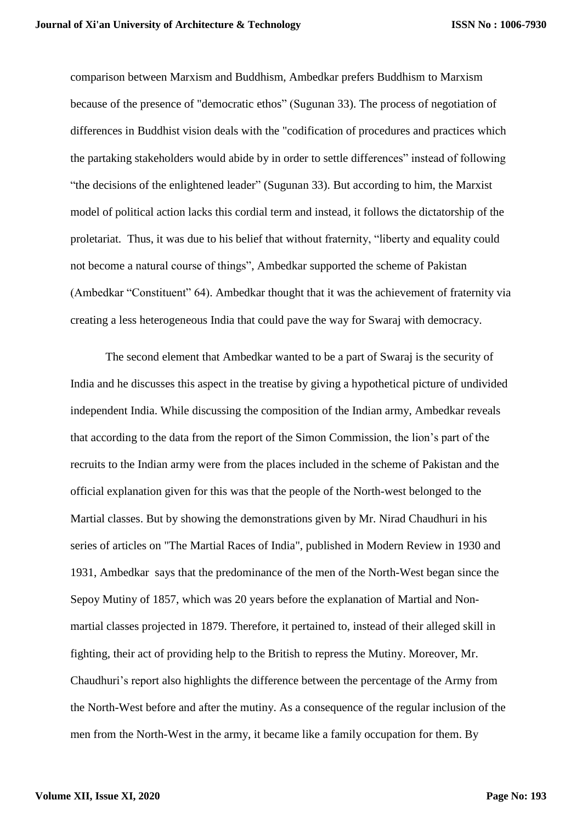**ISSN No : 1006-7930**

comparison between Marxism and Buddhism, Ambedkar prefers Buddhism to Marxism because of the presence of "democratic ethos" (Sugunan 33). The process of negotiation of differences in Buddhist vision deals with the "codification of procedures and practices which the partaking stakeholders would abide by in order to settle differences" instead of following "the decisions of the enlightened leader" (Sugunan 33). But according to him, the Marxist model of political action lacks this cordial term and instead, it follows the dictatorship of the proletariat. Thus, it was due to his belief that without fraternity, "liberty and equality could not become a natural course of things", Ambedkar supported the scheme of Pakistan (Ambedkar "Constituent" 64). Ambedkar thought that it was the achievement of fraternity via creating a less heterogeneous India that could pave the way for Swaraj with democracy.

The second element that Ambedkar wanted to be a part of Swaraj is the security of India and he discusses this aspect in the treatise by giving a hypothetical picture of undivided independent India. While discussing the composition of the Indian army, Ambedkar reveals that according to the data from the report of the Simon Commission, the lion's part of the recruits to the Indian army were from the places included in the scheme of Pakistan and the official explanation given for this was that the people of the North-west belonged to the Martial classes. But by showing the demonstrations given by Mr. Nirad Chaudhuri in his series of articles on "The Martial Races of India", published in Modern Review in 1930 and 1931, Ambedkar says that the predominance of the men of the North-West began since the Sepoy Mutiny of 1857, which was 20 years before the explanation of Martial and Nonmartial classes projected in 1879. Therefore, it pertained to, instead of their alleged skill in fighting, their act of providing help to the British to repress the Mutiny. Moreover, Mr. Chaudhuri's report also highlights the difference between the percentage of the Army from the North-West before and after the mutiny. As a consequence of the regular inclusion of the men from the North-West in the army, it became like a family occupation for them. By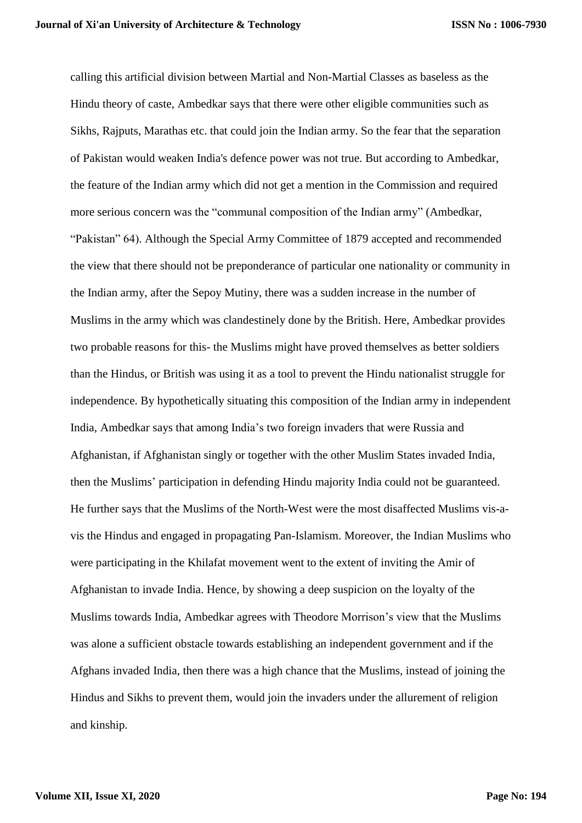calling this artificial division between Martial and Non-Martial Classes as baseless as the Hindu theory of caste, Ambedkar says that there were other eligible communities such as Sikhs, Rajputs, Marathas etc. that could join the Indian army. So the fear that the separation of Pakistan would weaken India's defence power was not true. But according to Ambedkar, the feature of the Indian army which did not get a mention in the Commission and required more serious concern was the "communal composition of the Indian army" (Ambedkar, "Pakistan" 64). Although the Special Army Committee of 1879 accepted and recommended the view that there should not be preponderance of particular one nationality or community in the Indian army, after the Sepoy Mutiny, there was a sudden increase in the number of Muslims in the army which was clandestinely done by the British. Here, Ambedkar provides two probable reasons for this- the Muslims might have proved themselves as better soldiers than the Hindus, or British was using it as a tool to prevent the Hindu nationalist struggle for independence. By hypothetically situating this composition of the Indian army in independent India, Ambedkar says that among India's two foreign invaders that were Russia and Afghanistan, if Afghanistan singly or together with the other Muslim States invaded India, then the Muslims' participation in defending Hindu majority India could not be guaranteed. He further says that the Muslims of the North-West were the most disaffected Muslims vis-avis the Hindus and engaged in propagating Pan-Islamism. Moreover, the Indian Muslims who were participating in the Khilafat movement went to the extent of inviting the Amir of Afghanistan to invade India. Hence, by showing a deep suspicion on the loyalty of the Muslims towards India, Ambedkar agrees with Theodore Morrison's view that the Muslims was alone a sufficient obstacle towards establishing an independent government and if the Afghans invaded India, then there was a high chance that the Muslims, instead of joining the Hindus and Sikhs to prevent them, would join the invaders under the allurement of religion and kinship.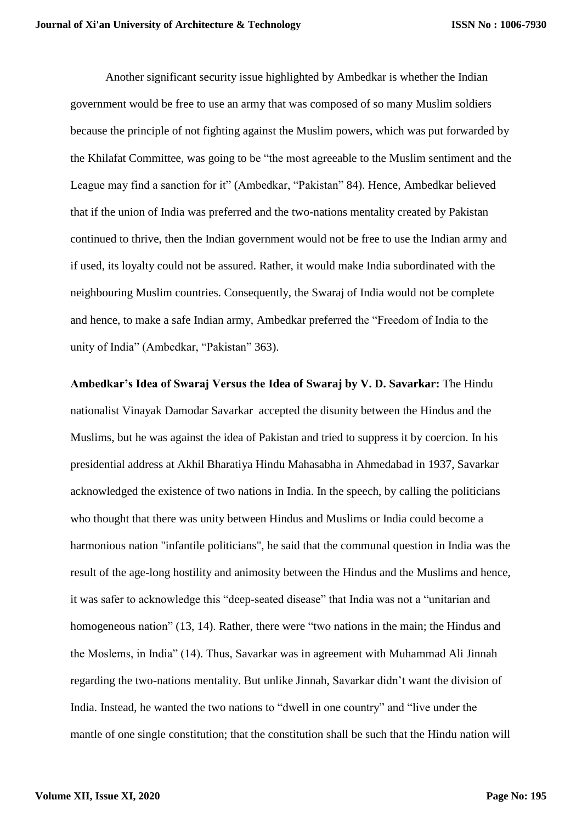Another significant security issue highlighted by Ambedkar is whether the Indian government would be free to use an army that was composed of so many Muslim soldiers because the principle of not fighting against the Muslim powers, which was put forwarded by the Khilafat Committee, was going to be "the most agreeable to the Muslim sentiment and the League may find a sanction for it" (Ambedkar, "Pakistan" 84). Hence, Ambedkar believed that if the union of India was preferred and the two-nations mentality created by Pakistan continued to thrive, then the Indian government would not be free to use the Indian army and if used, its loyalty could not be assured. Rather, it would make India subordinated with the neighbouring Muslim countries. Consequently, the Swaraj of India would not be complete and hence, to make a safe Indian army, Ambedkar preferred the "Freedom of India to the unity of India" (Ambedkar, "Pakistan" 363).

**Ambedkar's Idea of Swaraj Versus the Idea of Swaraj by V. D. Savarkar:** The Hindu nationalist Vinayak Damodar Savarkar accepted the disunity between the Hindus and the Muslims, but he was against the idea of Pakistan and tried to suppress it by coercion. In his presidential address at Akhil Bharatiya Hindu Mahasabha in Ahmedabad in 1937, Savarkar acknowledged the existence of two nations in India. In the speech, by calling the politicians who thought that there was unity between Hindus and Muslims or India could become a harmonious nation "infantile politicians", he said that the communal question in India was the result of the age-long hostility and animosity between the Hindus and the Muslims and hence, it was safer to acknowledge this "deep-seated disease" that India was not a "unitarian and homogeneous nation" (13, 14). Rather, there were "two nations in the main; the Hindus and the Moslems, in India" (14). Thus, Savarkar was in agreement with Muhammad Ali Jinnah regarding the two-nations mentality. But unlike Jinnah, Savarkar didn't want the division of India. Instead, he wanted the two nations to "dwell in one country" and "live under the mantle of one single constitution; that the constitution shall be such that the Hindu nation will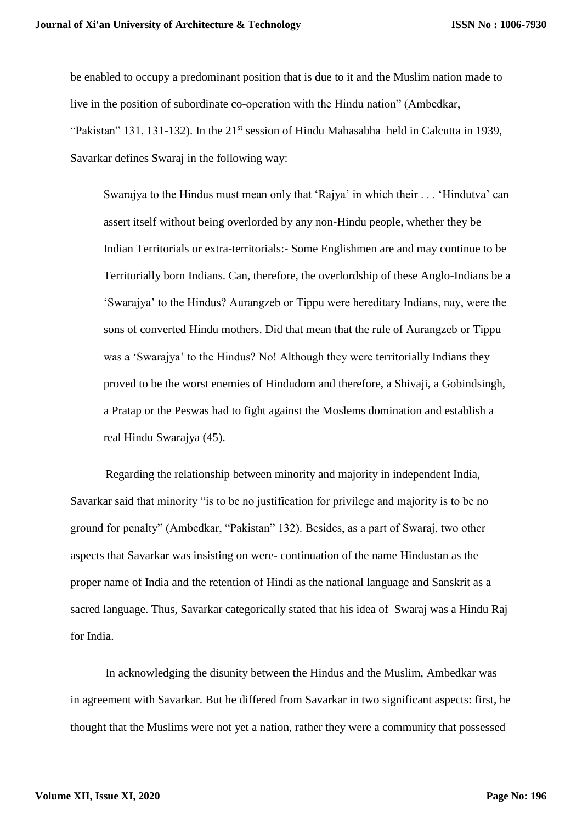be enabled to occupy a predominant position that is due to it and the Muslim nation made to live in the position of subordinate co-operation with the Hindu nation" (Ambedkar, "Pakistan" 131, 131-132). In the 21<sup>st</sup> session of Hindu Mahasabha held in Calcutta in 1939, Savarkar defines Swaraj in the following way:

Swarajya to the Hindus must mean only that 'Rajya' in which their . . . 'Hindutva' can assert itself without being overlorded by any non-Hindu people, whether they be Indian Territorials or extra-territorials:- Some Englishmen are and may continue to be Territorially born Indians. Can, therefore, the overlordship of these Anglo-Indians be a 'Swarajya' to the Hindus? Aurangzeb or Tippu were hereditary Indians, nay, were the sons of converted Hindu mothers. Did that mean that the rule of Aurangzeb or Tippu was a 'Swarajya' to the Hindus? No! Although they were territorially Indians they proved to be the worst enemies of Hindudom and therefore, a Shivaji, a Gobindsingh, a Pratap or the Peswas had to fight against the Moslems domination and establish a real Hindu Swarajya (45).

Regarding the relationship between minority and majority in independent India, Savarkar said that minority "is to be no justification for privilege and majority is to be no ground for penalty" (Ambedkar, "Pakistan" 132). Besides, as a part of Swaraj, two other aspects that Savarkar was insisting on were- continuation of the name Hindustan as the proper name of India and the retention of Hindi as the national language and Sanskrit as a sacred language. Thus, Savarkar categorically stated that his idea of Swaraj was a Hindu Raj for India.

In acknowledging the disunity between the Hindus and the Muslim, Ambedkar was in agreement with Savarkar. But he differed from Savarkar in two significant aspects: first, he thought that the Muslims were not yet a nation, rather they were a community that possessed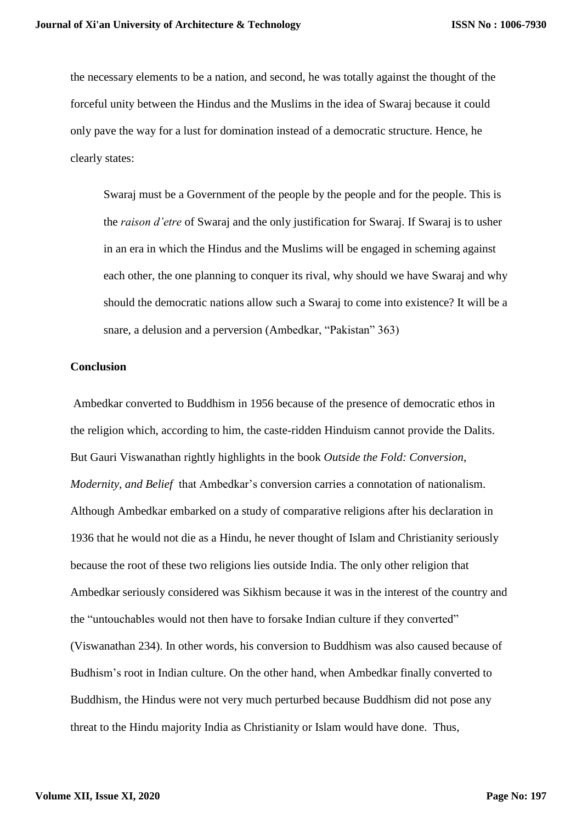the necessary elements to be a nation, and second, he was totally against the thought of the forceful unity between the Hindus and the Muslims in the idea of Swaraj because it could only pave the way for a lust for domination instead of a democratic structure. Hence, he clearly states:

Swaraj must be a Government of the people by the people and for the people. This is the *raison d'etre* of Swaraj and the only justification for Swaraj. If Swaraj is to usher in an era in which the Hindus and the Muslims will be engaged in scheming against each other, the one planning to conquer its rival, why should we have Swaraj and why should the democratic nations allow such a Swaraj to come into existence? It will be a snare, a delusion and a perversion (Ambedkar, "Pakistan" 363)

#### **Conclusion**

Ambedkar converted to Buddhism in 1956 because of the presence of democratic ethos in the religion which, according to him, the caste-ridden Hinduism cannot provide the Dalits. But Gauri Viswanathan rightly highlights in the book *Outside the Fold: Conversion, Modernity, and Belief* that Ambedkar's conversion carries a connotation of nationalism. Although Ambedkar embarked on a study of comparative religions after his declaration in 1936 that he would not die as a Hindu, he never thought of Islam and Christianity seriously because the root of these two religions lies outside India. The only other religion that Ambedkar seriously considered was Sikhism because it was in the interest of the country and the "untouchables would not then have to forsake Indian culture if they converted" (Viswanathan 234). In other words, his conversion to Buddhism was also caused because of Budhism's root in Indian culture. On the other hand, when Ambedkar finally converted to Buddhism, the Hindus were not very much perturbed because Buddhism did not pose any threat to the Hindu majority India as Christianity or Islam would have done. Thus,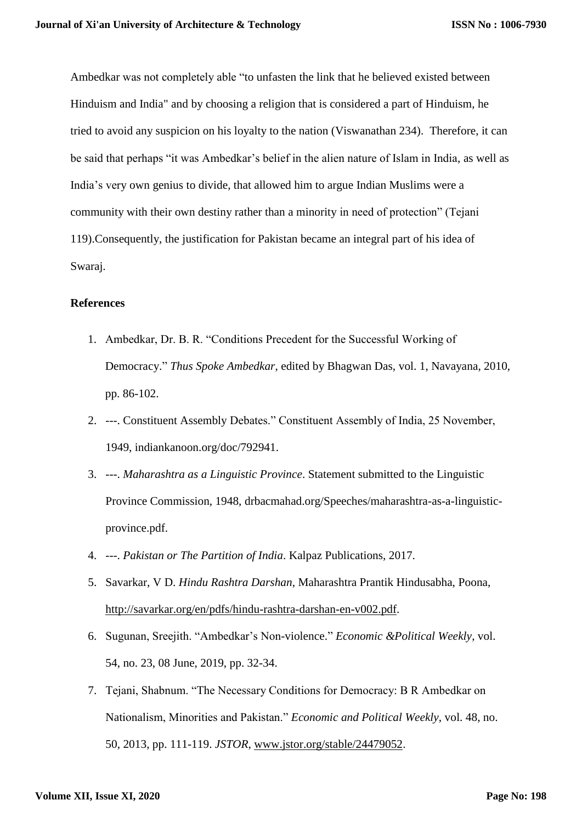Ambedkar was not completely able "to unfasten the link that he believed existed between Hinduism and India" and by choosing a religion that is considered a part of Hinduism, he tried to avoid any suspicion on his loyalty to the nation (Viswanathan 234). Therefore, it can be said that perhaps "it was Ambedkar's belief in the alien nature of Islam in India, as well as India's very own genius to divide, that allowed him to argue Indian Muslims were a community with their own destiny rather than a minority in need of protection" (Tejani 119).Consequently, the justification for Pakistan became an integral part of his idea of Swaraj.

### **References**

- 1. Ambedkar, Dr. B. R. "Conditions Precedent for the Successful Working of Democracy." *Thus Spoke Ambedkar*, edited by Bhagwan Das, vol. 1, Navayana, 2010, pp. 86-102.
- 2. ---. Constituent Assembly Debates." Constituent Assembly of India, 25 November, 1949, indiankanoon.org/doc/792941.
- 3. ---. *Maharashtra as a Linguistic Province*. Statement submitted to the Linguistic Province Commission, 1948, drbacmahad.org/Speeches/maharashtra-as-a-linguisticprovince.pdf.
- 4. ---. *Pakistan or The Partition of India*. Kalpaz Publications, 2017.
- 5. Savarkar, V D. *Hindu Rashtra Darshan*, Maharashtra Prantik Hindusabha, Poona, [http://savarkar.org/en/pdfs/hindu-rashtra-darshan-en-v002.pdf.](http://savarkar.org/en/pdfs/hindu-rashtra-darshan-en-v002.pdf)
- 6. Sugunan, Sreejith. "Ambedkar's Non-violence." *Economic &Political Weekly*, vol. 54, no. 23, 08 June, 2019, pp. 32-34.
- 7. Tejani, Shabnum. "The Necessary Conditions for Democracy: B R Ambedkar on Nationalism, Minorities and Pakistan." *Economic and Political Weekly*, vol. 48, no. 50, 2013, pp. 111-119. *JSTOR*, [www.jstor.org/stable/24479052.](http://www.jstor.org/stable/24479052)